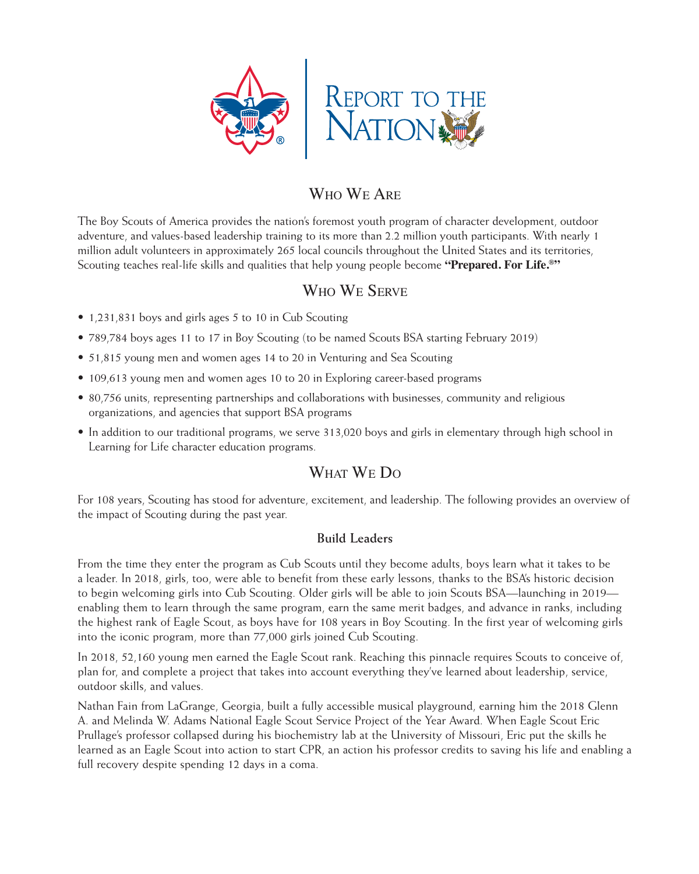

# Who We Are

The Boy Scouts of America provides the nation's foremost youth program of character development, outdoor adventure, and values-based leadership training to its more than 2.2 million youth participants. With nearly 1 million adult volunteers in approximately 265 local councils throughout the United States and its territories, Scouting teaches real-life skills and qualities that help young people become **"Prepared. For Life.®"**

### Who We Serve

- 1,231,831 boys and girls ages 5 to 10 in Cub Scouting
- 789,784 boys ages 11 to 17 in Boy Scouting (to be named Scouts BSA starting February 2019)
- 51,815 young men and women ages 14 to 20 in Venturing and Sea Scouting
- 109,613 young men and women ages 10 to 20 in Exploring career-based programs
- 80,756 units, representing partnerships and collaborations with businesses, community and religious organizations, and agencies that support BSA programs
- In addition to our traditional programs, we serve 313,020 boys and girls in elementary through high school in Learning for Life character education programs.

# WHAT WE DO

For 108 years, Scouting has stood for adventure, excitement, and leadership. The following provides an overview of the impact of Scouting during the past year.

### **Build Leaders**

From the time they enter the program as Cub Scouts until they become adults, boys learn what it takes to be a leader. In 2018, girls, too, were able to benefit from these early lessons, thanks to the BSA's historic decision to begin welcoming girls into Cub Scouting. Older girls will be able to join Scouts BSA—launching in 2019 enabling them to learn through the same program, earn the same merit badges, and advance in ranks, including the highest rank of Eagle Scout, as boys have for 108 years in Boy Scouting. In the first year of welcoming girls into the iconic program, more than 77,000 girls joined Cub Scouting.

In 2018, 52,160 young men earned the Eagle Scout rank. Reaching this pinnacle requires Scouts to conceive of, plan for, and complete a project that takes into account everything they've learned about leadership, service, outdoor skills, and values.

Nathan Fain from LaGrange, Georgia, built a fully accessible musical playground, earning him the 2018 Glenn A. and Melinda W. Adams National Eagle Scout Service Project of the Year Award. When Eagle Scout Eric Prullage's professor collapsed during his biochemistry lab at the University of Missouri, Eric put the skills he learned as an Eagle Scout into action to start CPR, an action his professor credits to saving his life and enabling a full recovery despite spending 12 days in a coma.